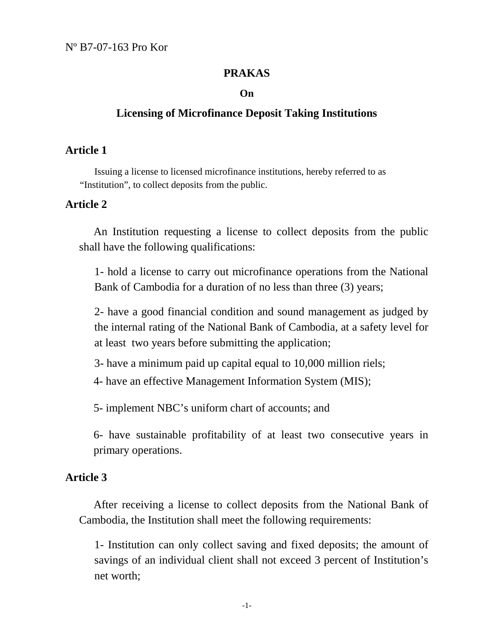Nº B7-07-163 Pro Kor

### **PRAKAS**

#### **On**

## **Licensing of Microfinance Deposit Taking Institutions**

#### **Article 1**

Issuing a license to licensed microfinance institutions, hereby referred to as "Institution", to collect deposits from the public.

## **Article 2**

An Institution requesting a license to collect deposits from the public shall have the following qualifications:

1- hold a license to carry out microfinance operations from the National Bank of Cambodia for a duration of no less than three (3) years;

2- have a good financial condition and sound management as judged by the internal rating of the National Bank of Cambodia, at a safety level for at least two years before submitting the application;

3- have a minimum paid up capital equal to 10,000 million riels;

4- have an effective Management Information System (MIS);

5- implement NBC's uniform chart of accounts; and

6- have sustainable profitability of at least two consecutive years in primary operations.

## **Article 3**

After receiving a license to collect deposits from the National Bank of Cambodia, the Institution shall meet the following requirements:

1- Institution can only collect saving and fixed deposits; the amount of savings of an individual client shall not exceed 3 percent of Institution's net worth;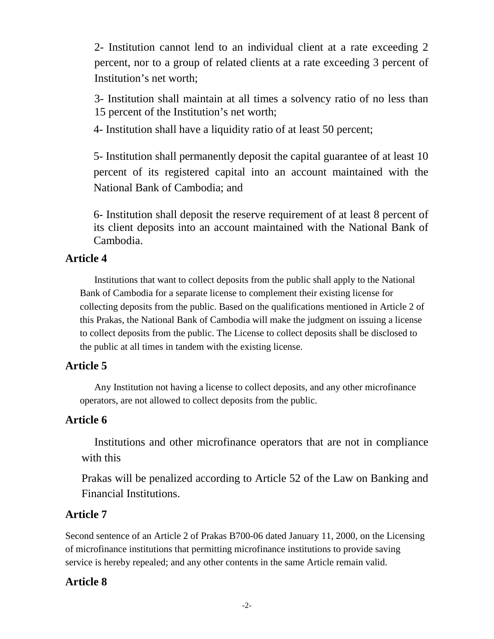2- Institution cannot lend to an individual client at a rate exceeding 2 percent, nor to a group of related clients at a rate exceeding 3 percent of Institution's net worth;

3- Institution shall maintain at all times a solvency ratio of no less than 15 percent of the Institution's net worth;

4- Institution shall have a liquidity ratio of at least 50 percent;

5- Institution shall permanently deposit the capital guarantee of at least 10 percent of its registered capital into an account maintained with the National Bank of Cambodia; and

6- Institution shall deposit the reserve requirement of at least 8 percent of its client deposits into an account maintained with the National Bank of Cambodia.

## **Article 4**

Institutions that want to collect deposits from the public shall apply to the National Bank of Cambodia for a separate license to complement their existing license for collecting deposits from the public. Based on the qualifications mentioned in Article 2 of this Prakas, the National Bank of Cambodia will make the judgment on issuing a license to collect deposits from the public. The License to collect deposits shall be disclosed to the public at all times in tandem with the existing license.

## **Article 5**

Any Institution not having a license to collect deposits, and any other microfinance operators, are not allowed to collect deposits from the public.

### **Article 6**

Institutions and other microfinance operators that are not in compliance with this

Prakas will be penalized according to Article 52 of the Law on Banking and Financial Institutions.

### **Article 7**

Second sentence of an Article 2 of Prakas B700-06 dated January 11, 2000, on the Licensing of microfinance institutions that permitting microfinance institutions to provide saving service is hereby repealed; and any other contents in the same Article remain valid.

### **Article 8**